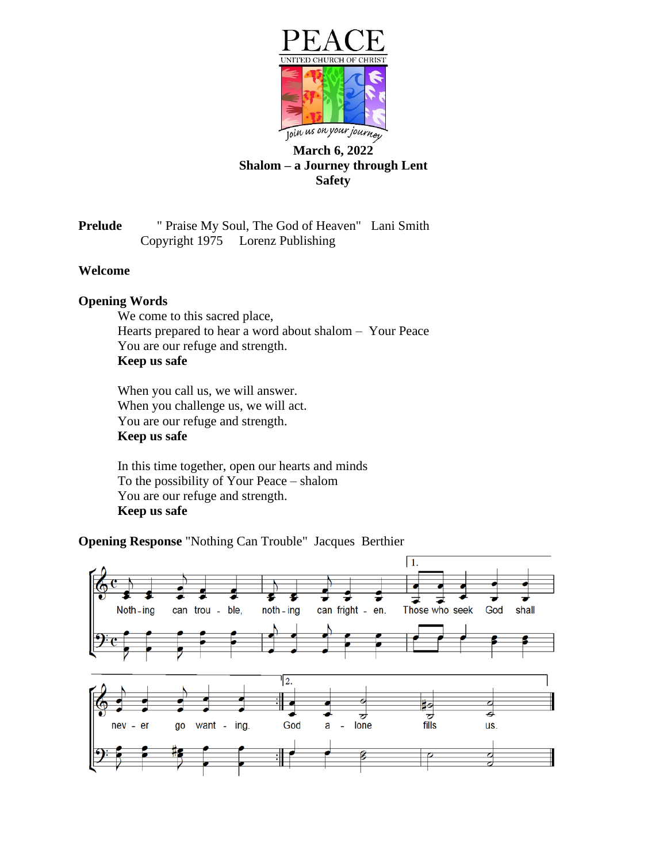

# **March 6, 2022 Shalom – a Journey through Lent Safety**

**Prelude** " Praise My Soul, The God of Heaven" Lani Smith Copyright 1975 Lorenz Publishing

## **Welcome**

### **Opening Words**

We come to this sacred place, Hearts prepared to hear a word about shalom – Your Peace You are our refuge and strength. **Keep us safe**

When you call us, we will answer. When you challenge us, we will act. You are our refuge and strength. **Keep us safe**

In this time together, open our hearts and minds To the possibility of Your Peace – shalom You are our refuge and strength. **Keep us safe**

**Opening Response** "Nothing Can Trouble" Jacques Berthier

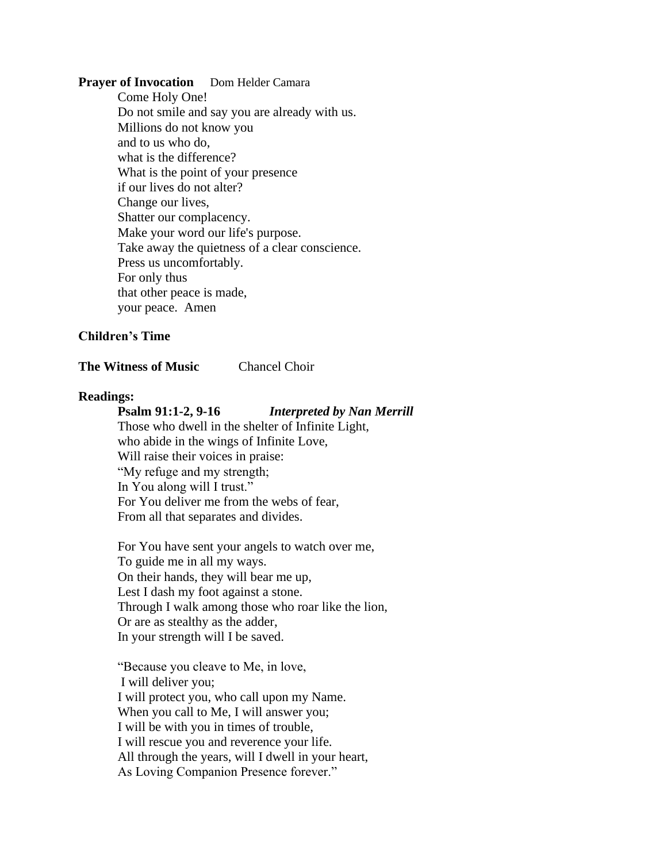### **Prayer of Invocation** Dom Helder Camara

Come Holy One! Do not smile and say you are already with us. Millions do not know you and to us who do, what is the difference? What is the point of your presence if our lives do not alter? Change our lives, Shatter our complacency. Make your word our life's purpose. Take away the quietness of a clear conscience. Press us uncomfortably. For only thus that other peace is made, your peace. Amen

## **Children's Time**

#### **The Witness of Music** Chancel Choir

### **Readings:**

#### **Psalm 91:1-2, 9-16** *Interpreted by Nan Merrill*

Those who dwell in the shelter of Infinite Light, who abide in the wings of Infinite Love, Will raise their voices in praise: "My refuge and my strength; In You along will I trust." For You deliver me from the webs of fear, From all that separates and divides.

For You have sent your angels to watch over me, To guide me in all my ways. On their hands, they will bear me up, Lest I dash my foot against a stone. Through I walk among those who roar like the lion, Or are as stealthy as the adder, In your strength will I be saved.

"Because you cleave to Me, in love, I will deliver you; I will protect you, who call upon my Name. When you call to Me, I will answer you; I will be with you in times of trouble, I will rescue you and reverence your life. All through the years, will I dwell in your heart, As Loving Companion Presence forever."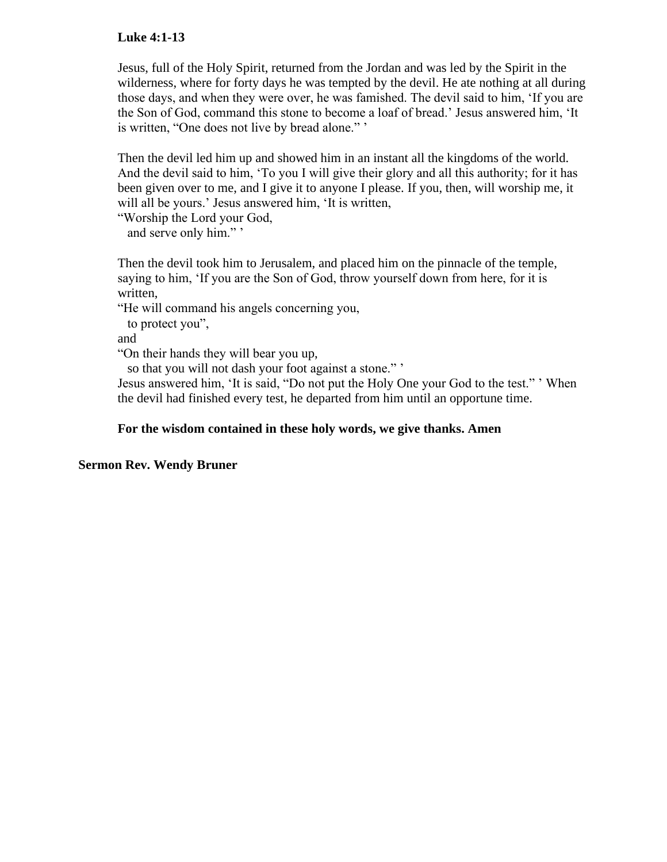## **Luke 4:1-13**

Jesus, full of the Holy Spirit, returned from the Jordan and was led by the Spirit in the wilderness, where for forty days he was tempted by the devil. He ate nothing at all during those days, and when they were over, he was famished. The devil said to him, 'If you are the Son of God, command this stone to become a loaf of bread.' Jesus answered him, 'It is written, "One does not live by bread alone." '

Then the devil led him up and showed him in an instant all the kingdoms of the world. And the devil said to him, 'To you I will give their glory and all this authority; for it has been given over to me, and I give it to anyone I please. If you, then, will worship me, it will all be yours.' Jesus answered him, 'It is written,

"Worship the Lord your God,

and serve only him."'

Then the devil took him to Jerusalem, and placed him on the pinnacle of the temple, saying to him, 'If you are the Son of God, throw yourself down from here, for it is written,

"He will command his angels concerning you,

to protect you",

and

"On their hands they will bear you up,

so that you will not dash your foot against a stone." '

Jesus answered him, 'It is said, "Do not put the Holy One your God to the test." ' When the devil had finished every test, he departed from him until an opportune time.

### **For the wisdom contained in these holy words, we give thanks. Amen**

#### **Sermon Rev. Wendy Bruner**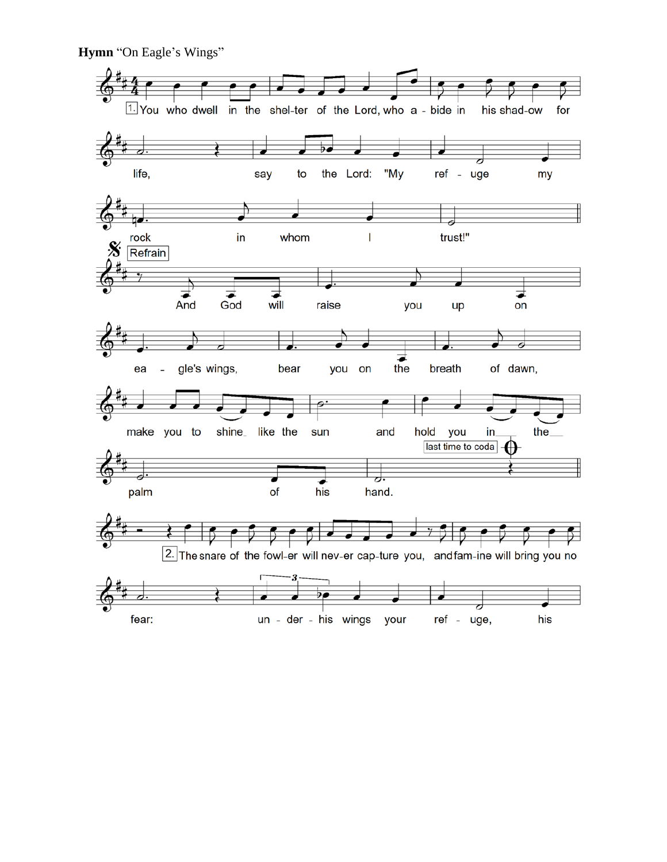**Hymn** "On Eagle's Wings"

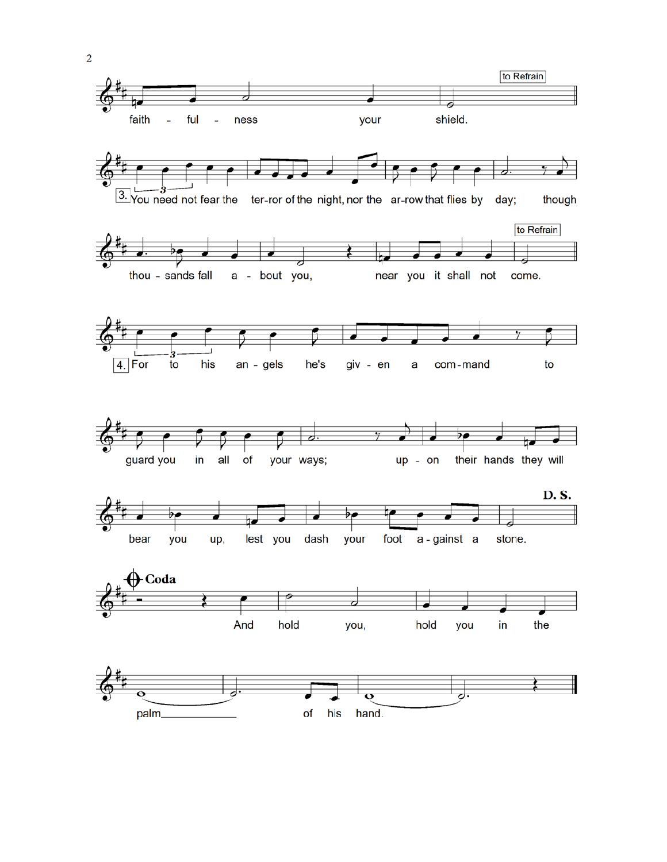